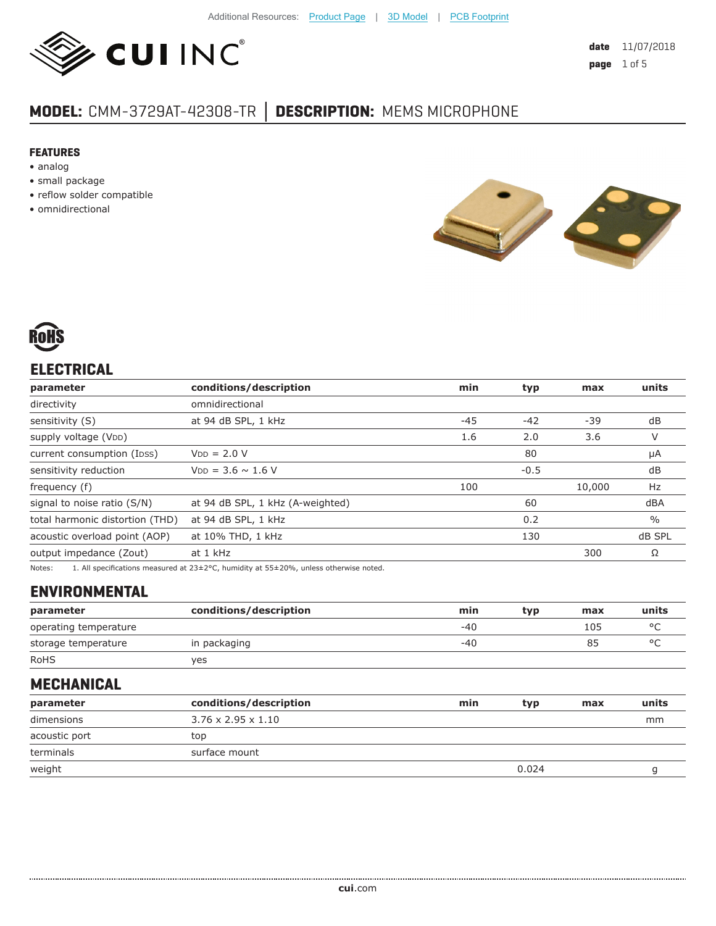

## **MODEL:** CMM-3729AT-42308-TR **│ DESCRIPTION:** MEMS MICROPHONE

#### **FEATURES**

- analog
- small package
- reflow solder compatible
- omnidirectional





## **ELECTRICAL**

| parameter                                                                                                                                                                                                                       | conditions/description           | min   | typ    | max    | units         |
|---------------------------------------------------------------------------------------------------------------------------------------------------------------------------------------------------------------------------------|----------------------------------|-------|--------|--------|---------------|
| directivity                                                                                                                                                                                                                     | omnidirectional                  |       |        |        |               |
| sensitivity (S)                                                                                                                                                                                                                 | at 94 dB SPL, 1 kHz              | $-45$ | $-42$  | $-39$  | dB            |
| supply voltage (VDD)                                                                                                                                                                                                            |                                  | 1.6   | 2.0    | 3.6    | V             |
| current consumption (Ipss)                                                                                                                                                                                                      | $VDD = 2.0 V$                    |       | 80     |        | μA            |
| sensitivity reduction                                                                                                                                                                                                           | $V_{DD} = 3.6 \sim 1.6 V$        |       | $-0.5$ |        | dB            |
| frequency (f)                                                                                                                                                                                                                   |                                  | 100   |        | 10,000 | Hz            |
| signal to noise ratio (S/N)                                                                                                                                                                                                     | at 94 dB SPL, 1 kHz (A-weighted) |       | 60     |        | dBA           |
| total harmonic distortion (THD)                                                                                                                                                                                                 | at 94 dB SPL, 1 kHz              |       | 0.2    |        | $\frac{0}{0}$ |
| acoustic overload point (AOP)                                                                                                                                                                                                   | at 10% THD, 1 kHz                |       | 130    |        | dB SPL        |
| output impedance (Zout)                                                                                                                                                                                                         | at 1 kHz                         |       |        | 300    | Ω             |
| $\sim$ . The contract of the contract of the contract of the contract of the contract of the contract of the contract of the contract of the contract of the contract of the contract of the contract of the contract of the co |                                  |       |        |        |               |

Notes: 1. All specifications measured at 23±2°C, humidity at 55±20%, unless otherwise noted.

#### **ENVIRONMENTAL**

| parameter             | conditions/description | min   | tvp | max | units   |
|-----------------------|------------------------|-------|-----|-----|---------|
| operating temperature |                        | $-40$ |     | 105 | $\circ$ |
| storage temperature   | in packaging           | $-40$ |     | 85  | $\circ$ |
| <b>RoHS</b>           | ves                    |       |     |     |         |

#### **MECHANICAL**

| parameter     | conditions/description         | min | typ   | max | units |
|---------------|--------------------------------|-----|-------|-----|-------|
| dimensions    | $3.76 \times 2.95 \times 1.10$ |     |       |     | mm    |
| acoustic port | top                            |     |       |     |       |
| terminals     | surface mount                  |     |       |     |       |
| weight        |                                |     | 0.024 |     |       |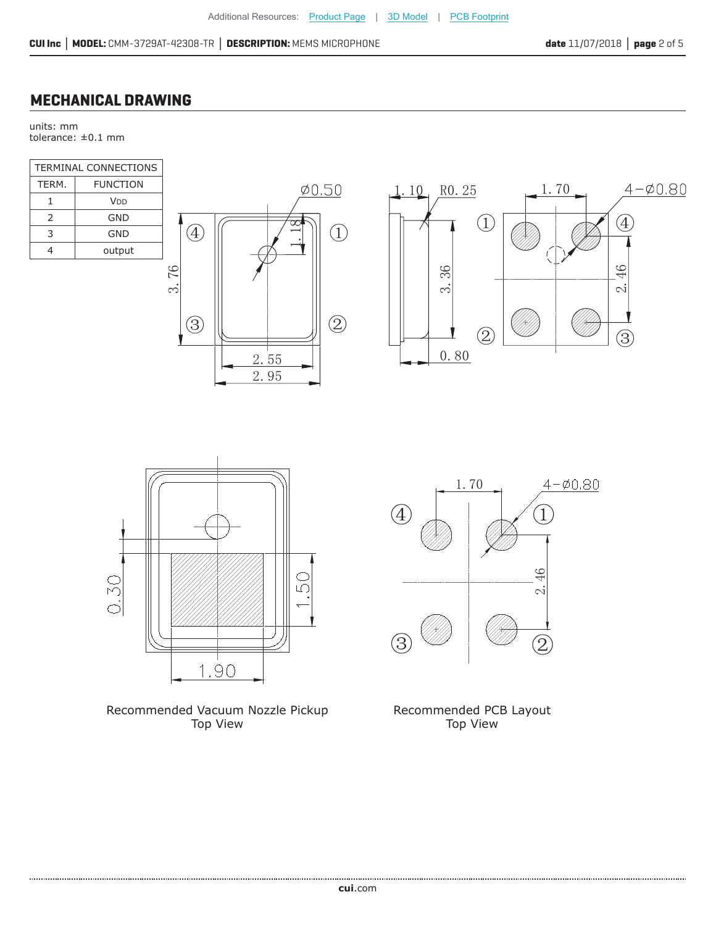## **MECHANICAL DRAWING**

units: mm tolerance: ±0.1 mm

| TERMINAL CONNECTIONS |                 |  |  |
|----------------------|-----------------|--|--|
| TERM.                | <b>FUNCTION</b> |  |  |
| 1                    | V <sub>DD</sub> |  |  |
| $\mathcal{P}$        | GND             |  |  |
| 3                    | GND             |  |  |
| 4                    | output          |  |  |
|                      |                 |  |  |







Recommended Vacuum Nozzle Pickup Top View



Recommended PCB Layout Top View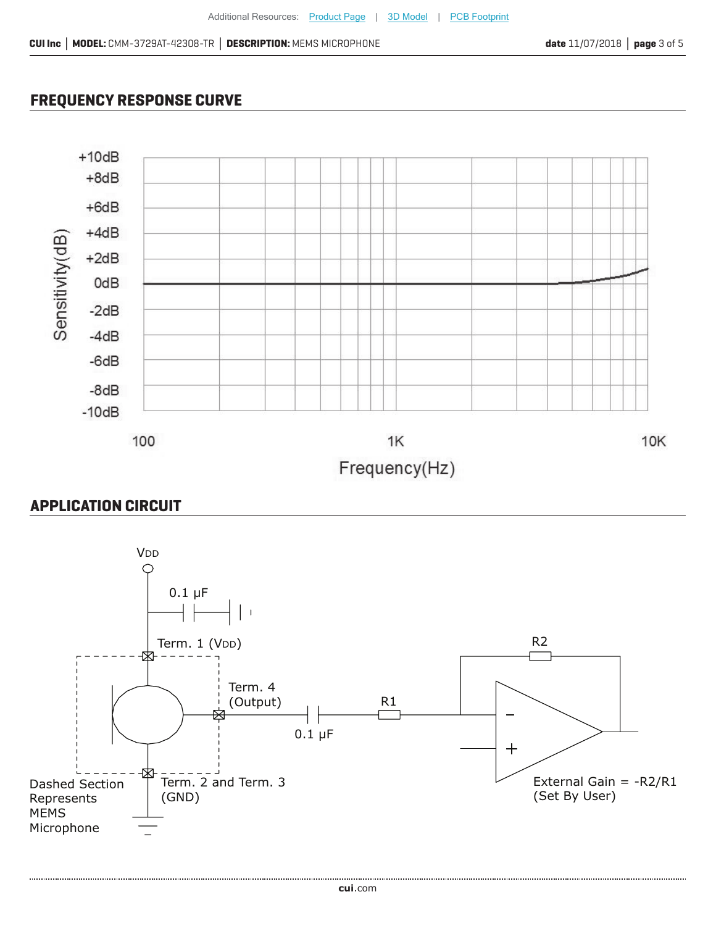## **FREQUENCY RESPONSE CURVE**



### **APPLICATION CIRCUIT**

....................

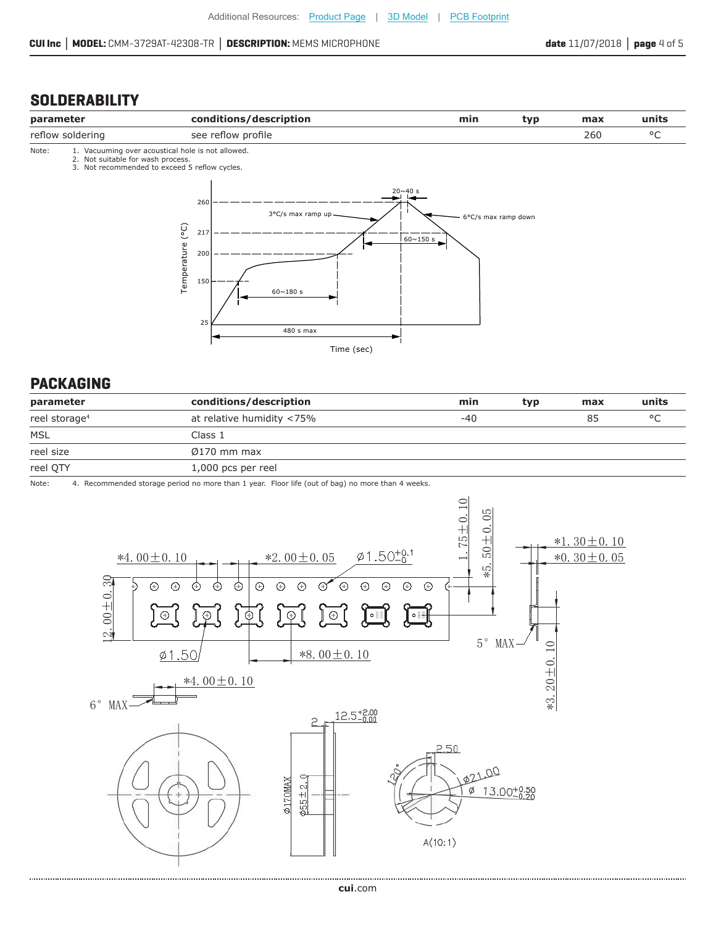#### **SOLDERABILITY**





#### **PACKAGING**

| parameter                 | conditions/description    | min   | typ | max | units   |
|---------------------------|---------------------------|-------|-----|-----|---------|
| reel storage <sup>4</sup> | at relative humidity <75% | $-40$ |     | 85  | $\circ$ |
| <b>MSL</b>                | Class 1                   |       |     |     |         |
| reel size                 | $\varnothing$ 170 mm max  |       |     |     |         |
| reel QTY                  | 1,000 pcs per reel        |       |     |     |         |

Note: 4. Recommended storage period no more than 1 year. Floor life (out of bag) no more than 4 weeks.

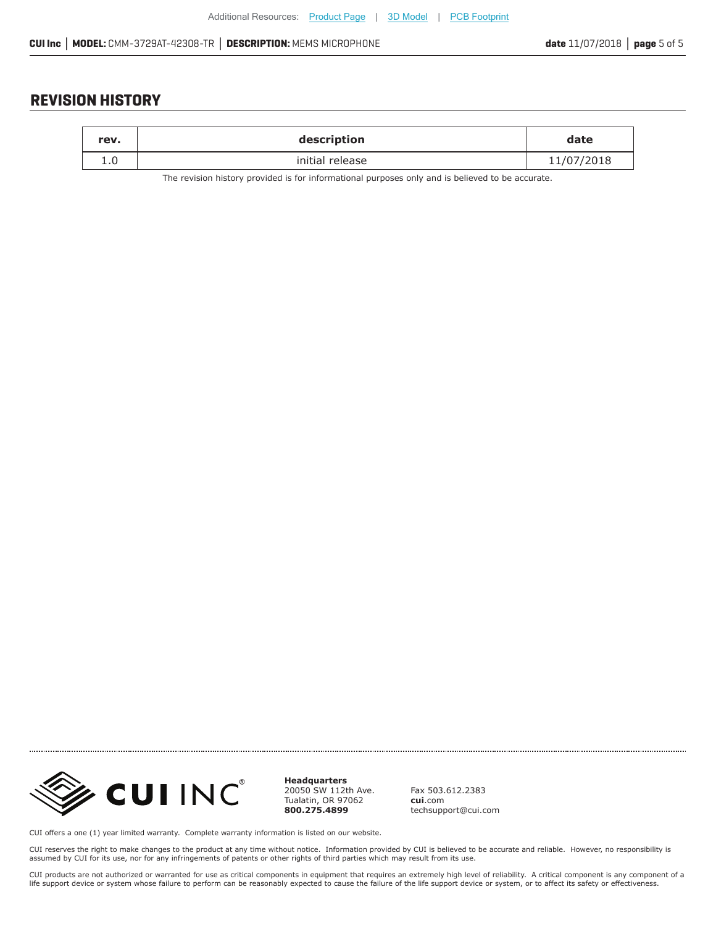#### **REVISION HISTORY**

| rev. | description     | date       |
|------|-----------------|------------|
|      | initial release | 11/07/2018 |

The revision history provided is for informational purposes only and is believed to be accurate.



**Headquarters** 20050 SW 112th Ave. Tualatin, OR 97062 **800.275.4899**

Fax 503.612.2383 **cui**.com techsupport@cui.com

CUI offers a one (1) year limited warranty. Complete warranty information is listed on our website.

CUI reserves the right to make changes to the product at any time without notice. Information provided by CUI is believed to be accurate and reliable. However, no responsibility is assumed by CUI for its use, nor for any infringements of patents or other rights of third parties which may result from its use.

CUI products are not authorized or warranted for use as critical components in equipment that requires an extremely high level of reliability. A critical component is any component of a<br>life support device or system whose